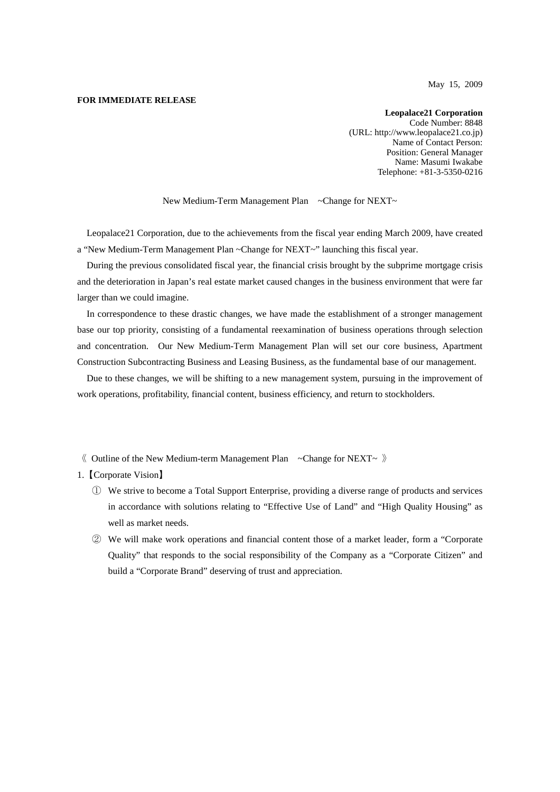May 15, 2009

### **FOR IMMEDIATE RELEASE**

**Leopalace21 Corporation** Code Number: 8848 (URL: http://www.leopalace21.co.jp) Name of Contact Person: Position: General Manager Name: Masumi Iwakabe Telephone: +81-3-5350-0216

New Medium-Term Management Plan ~Change for NEXT~

Leopalace21 Corporation, due to the achievements from the fiscal year ending March 2009, have created a "New Medium-Term Management Plan ~Change for NEXT~" launching this fiscal year.

During the previous consolidated fiscal year, the financial crisis brought by the subprime mortgage crisis and the deterioration in Japan's real estate market caused changes in the business environment that were far larger than we could imagine.

In correspondence to these drastic changes, we have made the establishment of a stronger management base our top priority, consisting of a fundamental reexamination of business operations through selection and concentration. Our New Medium-Term Management Plan will set our core business, Apartment Construction Subcontracting Business and Leasing Business, as the fundamental base of our management.

Due to these changes, we will be shifting to a new management system, pursuing in the improvement of work operations, profitability, financial content, business efficiency, and return to stockholders.

- $\langle \rangle$  Outline of the New Medium-term Management Plan ~Change for NEXT~  $\rangle$
- 1.【Corporate Vision】
	- ① We strive to become a Total Support Enterprise, providing a diverse range of products and services in accordance with solutions relating to "Effective Use of Land" and "High Quality Housing" as well as market needs.
	- ② We will make work operations and financial content those of a market leader, form a "Corporate Quality" that responds to the social responsibility of the Company as a "Corporate Citizen" and build a "Corporate Brand" deserving of trust and appreciation.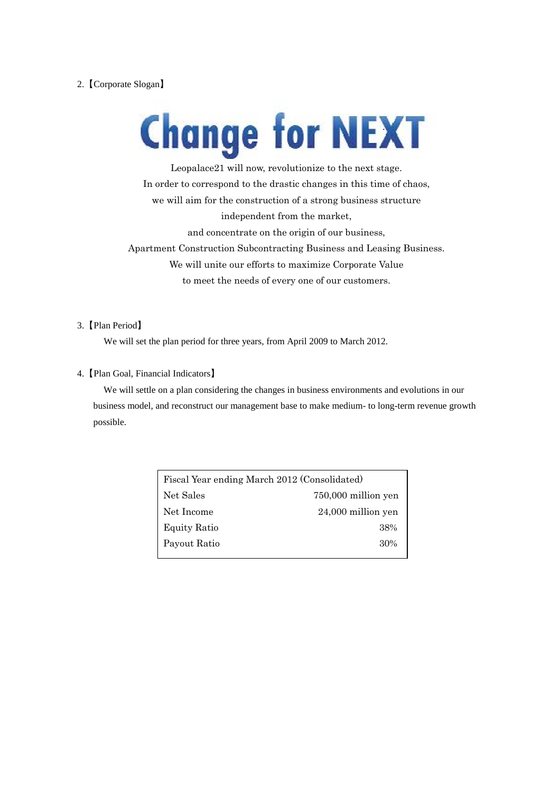# 2.【Corporate Slogan】

# **Change for NEXT**

Leopalace21 will now, revolutionize to the next stage. In order to correspond to the drastic changes in this time of chaos, we will aim for the construction of a strong business structure independent from the market, and concentrate on the origin of our business, Apartment Construction Subcontracting Business and Leasing Business. We will unite our efforts to maximize Corporate Value to meet the needs of every one of our customers.

# 3.【Plan Period】

We will set the plan period for three years, from April 2009 to March 2012.

## 4.【Plan Goal, Financial Indicators】

We will settle on a plan considering the changes in business environments and evolutions in our business model, and reconstruct our management base to make medium- to long-term revenue growth possible.

| Fiscal Year ending March 2012 (Consolidated) |                      |  |
|----------------------------------------------|----------------------|--|
| Net Sales                                    | 750,000 million yen  |  |
| Net Income                                   | $24,000$ million yen |  |
| <b>Equity Ratio</b>                          | 38%                  |  |
| Payout Ratio                                 | 30%                  |  |
|                                              |                      |  |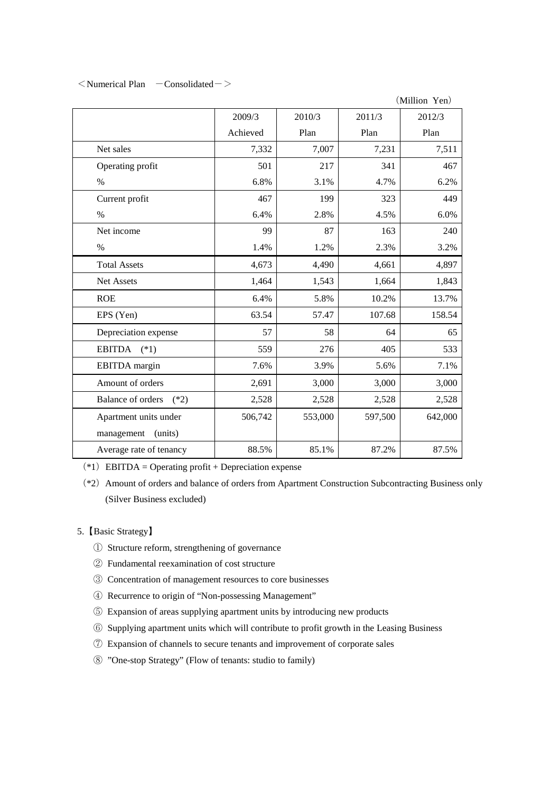$\leq$ Numerical Plan  $\sim$  Consolidated $\sim$ 

(Million Yen)

|                                    | 2009/3   | 2010/3  | 2011/3  | 2012/3  |
|------------------------------------|----------|---------|---------|---------|
|                                    | Achieved | Plan    | Plan    | Plan    |
| Net sales                          | 7,332    | 7,007   | 7,231   | 7,511   |
| Operating profit                   | 501      | 217     | 341     | 467     |
| $\%$                               | 6.8%     | 3.1%    | 4.7%    | 6.2%    |
| Current profit                     | 467      | 199     | 323     | 449     |
| $\%$                               | 6.4%     | 2.8%    | 4.5%    | 6.0%    |
| Net income                         | 99       | 87      | 163     | 240     |
| $\%$                               | 1.4%     | 1.2%    | 2.3%    | 3.2%    |
| <b>Total Assets</b>                | 4,673    | 4,490   | 4,661   | 4,897   |
| Net Assets                         | 1,464    | 1,543   | 1,664   | 1,843   |
| <b>ROE</b>                         | 6.4%     | 5.8%    | 10.2%   | 13.7%   |
| EPS (Yen)                          | 63.54    | 57.47   | 107.68  | 158.54  |
| Depreciation expense               | 57       | 58      | 64      | 65      |
| EBITDA $(*1)$                      | 559      | 276     | 405     | 533     |
| EBITDA margin                      | 7.6%     | 3.9%    | 5.6%    | 7.1%    |
| Amount of orders                   | 2,691    | 3,000   | 3,000   | 3,000   |
| <b>Balance of orders</b><br>$(*2)$ | 2,528    | 2,528   | 2,528   | 2,528   |
| Apartment units under              | 506,742  | 553,000 | 597,500 | 642,000 |
| management<br>(units)              |          |         |         |         |
| Average rate of tenancy            | 88.5%    | 85.1%   | 87.2%   | 87.5%   |

(\*1) EBITDA = Operating profit + Depreciation expense

(\*2)Amount of orders and balance of orders from Apartment Construction Subcontracting Business only (Silver Business excluded)

# 5.【Basic Strategy】

- ① Structure reform, strengthening of governance
- ② Fundamental reexamination of cost structure
- ③ Concentration of management resources to core businesses
- ④ Recurrence to origin of "Non-possessing Management"
- ⑤ Expansion of areas supplying apartment units by introducing new products
- ⑥ Supplying apartment units which will contribute to profit growth in the Leasing Business
- ⑦ Expansion of channels to secure tenants and improvement of corporate sales
- ⑧ "One-stop Strategy" (Flow of tenants: studio to family)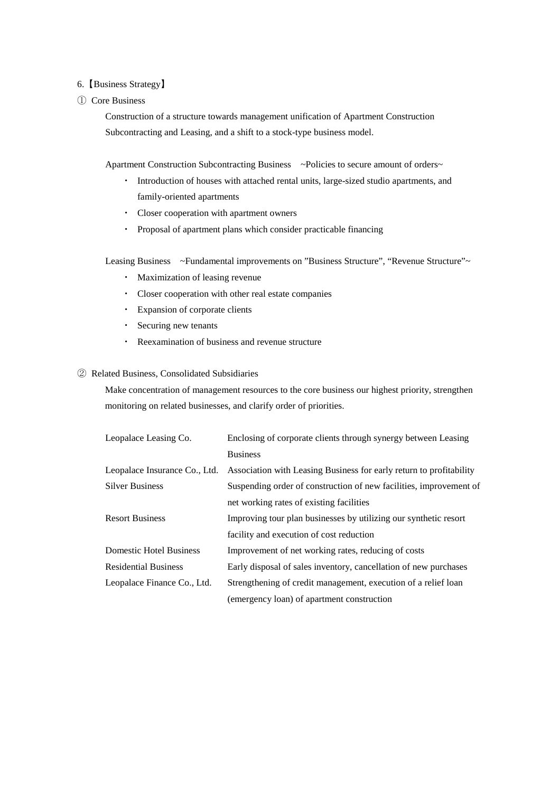### 6.【Business Strategy】

## ① Core Business

Construction of a structure towards management unification of Apartment Construction Subcontracting and Leasing, and a shift to a stock-type business model.

Apartment Construction Subcontracting Business ~Policies to secure amount of orders~

- ・ Introduction of houses with attached rental units, large-sized studio apartments, and family-oriented apartments
- ・ Closer cooperation with apartment owners
- ・ Proposal of apartment plans which consider practicable financing

Leasing Business ~Fundamental improvements on "Business Structure", "Revenue Structure"~

- ・ Maximization of leasing revenue
- ・ Closer cooperation with other real estate companies
- ・ Expansion of corporate clients
- ・ Securing new tenants
- ・ Reexamination of business and revenue structure

# ② Related Business, Consolidated Subsidiaries

Make concentration of management resources to the core business our highest priority, strengthen monitoring on related businesses, and clarify order of priorities.

| Leopalace Leasing Co.          | Enclosing of corporate clients through synergy between Leasing      |
|--------------------------------|---------------------------------------------------------------------|
|                                | <b>Business</b>                                                     |
| Leopalace Insurance Co., Ltd.  | Association with Leasing Business for early return to profitability |
| <b>Silver Business</b>         | Suspending order of construction of new facilities, improvement of  |
|                                | net working rates of existing facilities                            |
| <b>Resort Business</b>         | Improving tour plan businesses by utilizing our synthetic resort    |
|                                | facility and execution of cost reduction                            |
| <b>Domestic Hotel Business</b> | Improvement of net working rates, reducing of costs                 |
| <b>Residential Business</b>    | Early disposal of sales inventory, cancellation of new purchases    |
| Leopalace Finance Co., Ltd.    | Strengthening of credit management, execution of a relief loan      |
|                                | (emergency loan) of apartment construction                          |